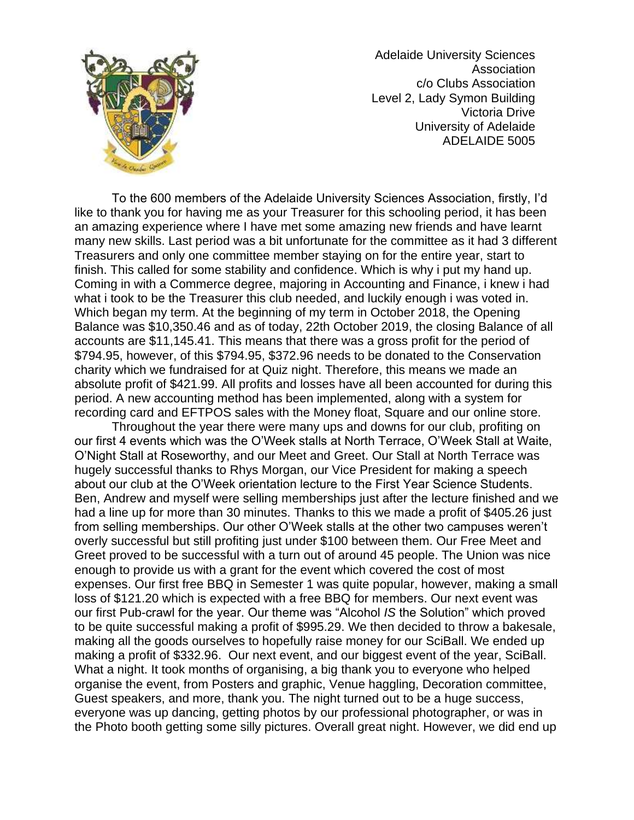

Adelaide University Sciences Association c/o Clubs Association Level 2, Lady Symon Building Victoria Drive University of Adelaide ADELAIDE 5005

To the 600 members of the Adelaide University Sciences Association, firstly, I'd like to thank you for having me as your Treasurer for this schooling period, it has been an amazing experience where I have met some amazing new friends and have learnt many new skills. Last period was a bit unfortunate for the committee as it had 3 different Treasurers and only one committee member staying on for the entire year, start to finish. This called for some stability and confidence. Which is why i put my hand up. Coming in with a Commerce degree, majoring in Accounting and Finance, i knew i had what i took to be the Treasurer this club needed, and luckily enough i was voted in. Which began my term. At the beginning of my term in October 2018, the Opening Balance was \$10,350.46 and as of today, 22th October 2019, the closing Balance of all accounts are \$11,145.41. This means that there was a gross profit for the period of \$794.95, however, of this \$794.95, \$372.96 needs to be donated to the Conservation charity which we fundraised for at Quiz night. Therefore, this means we made an absolute profit of \$421.99. All profits and losses have all been accounted for during this period. A new accounting method has been implemented, along with a system for recording card and EFTPOS sales with the Money float, Square and our online store.

Throughout the year there were many ups and downs for our club, profiting on our first 4 events which was the O'Week stalls at North Terrace, O'Week Stall at Waite, O'Night Stall at Roseworthy, and our Meet and Greet. Our Stall at North Terrace was hugely successful thanks to Rhys Morgan, our Vice President for making a speech about our club at the O'Week orientation lecture to the First Year Science Students. Ben, Andrew and myself were selling memberships just after the lecture finished and we had a line up for more than 30 minutes. Thanks to this we made a profit of \$405.26 just from selling memberships. Our other O'Week stalls at the other two campuses weren't overly successful but still profiting just under \$100 between them. Our Free Meet and Greet proved to be successful with a turn out of around 45 people. The Union was nice enough to provide us with a grant for the event which covered the cost of most expenses. Our first free BBQ in Semester 1 was quite popular, however, making a small loss of \$121.20 which is expected with a free BBQ for members. Our next event was our first Pub-crawl for the year. Our theme was "Alcohol *IS* the Solution" which proved to be quite successful making a profit of \$995.29. We then decided to throw a bakesale, making all the goods ourselves to hopefully raise money for our SciBall. We ended up making a profit of \$332.96. Our next event, and our biggest event of the year, SciBall. What a night. It took months of organising, a big thank you to everyone who helped organise the event, from Posters and graphic, Venue haggling, Decoration committee, Guest speakers, and more, thank you. The night turned out to be a huge success, everyone was up dancing, getting photos by our professional photographer, or was in the Photo booth getting some silly pictures. Overall great night. However, we did end up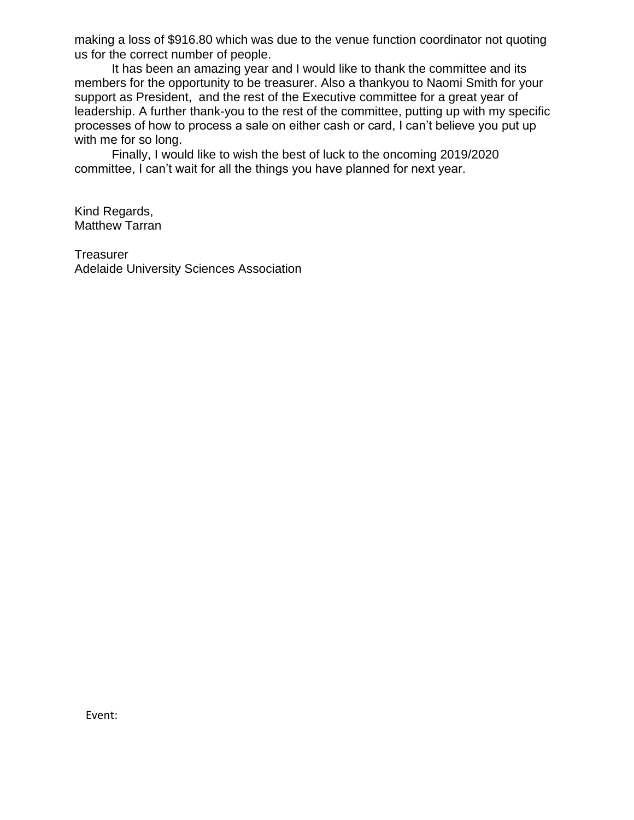making a loss of \$916.80 which was due to the venue function coordinator not quoting us for the correct number of people.

It has been an amazing year and I would like to thank the committee and its members for the opportunity to be treasurer. Also a thankyou to Naomi Smith for your support as President, and the rest of the Executive committee for a great year of leadership. A further thank-you to the rest of the committee, putting up with my specific processes of how to process a sale on either cash or card, I can't believe you put up with me for so long.

Finally, I would like to wish the best of luck to the oncoming 2019/2020 committee, I can't wait for all the things you have planned for next year.

Kind Regards, Matthew Tarran

Treasurer Adelaide University Sciences Association

Event: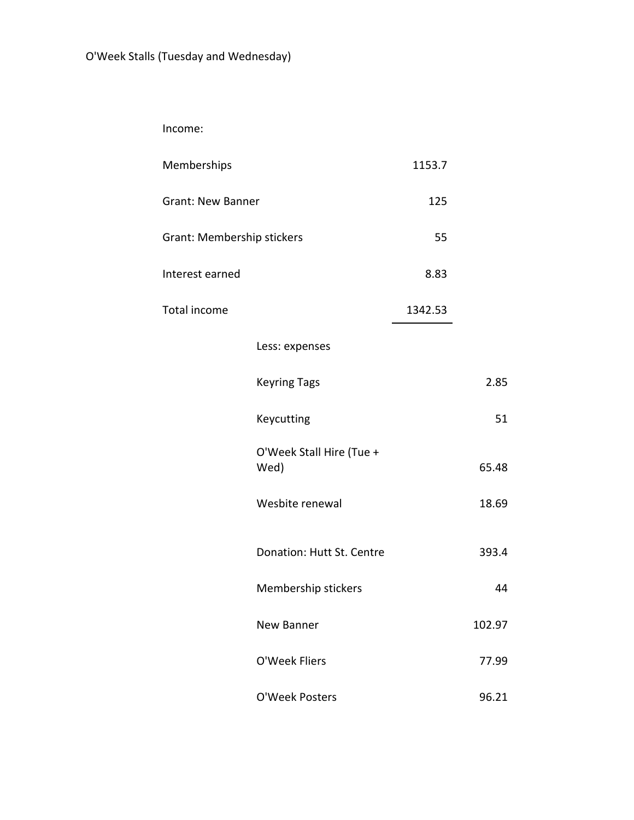Income:

| Memberships                |                                  | 1153.7  |        |
|----------------------------|----------------------------------|---------|--------|
| <b>Grant: New Banner</b>   |                                  | 125     |        |
| Grant: Membership stickers |                                  | 55      |        |
| Interest earned            |                                  | 8.83    |        |
| Total income               |                                  | 1342.53 |        |
|                            | Less: expenses                   |         |        |
|                            | <b>Keyring Tags</b>              |         | 2.85   |
|                            | Keycutting                       |         | 51     |
|                            | O'Week Stall Hire (Tue +<br>Wed) |         | 65.48  |
|                            | Wesbite renewal                  |         | 18.69  |
|                            | Donation: Hutt St. Centre        |         | 393.4  |
|                            | Membership stickers              |         | 44     |
|                            | New Banner                       |         | 102.97 |
|                            | O'Week Fliers                    |         | 77.99  |
|                            | O'Week Posters                   |         | 96.21  |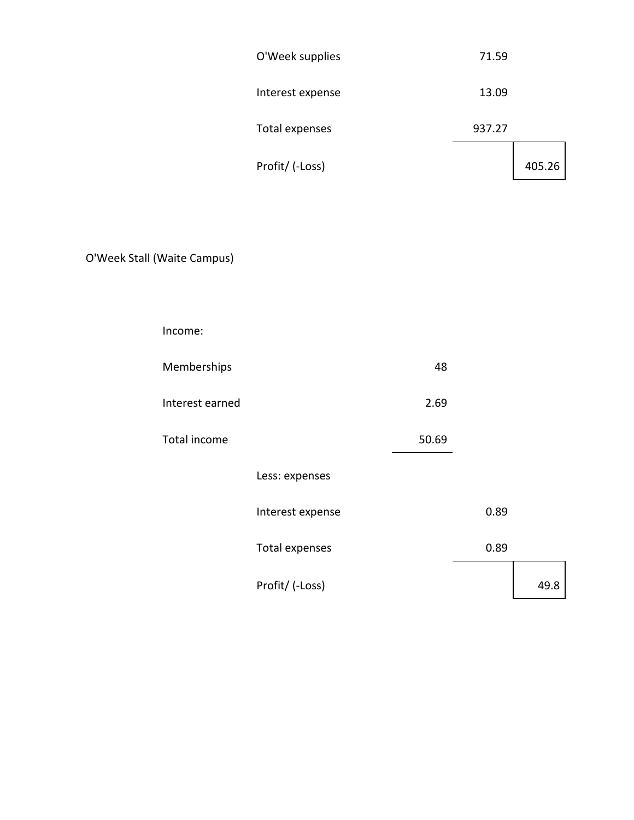| O'Week supplies  | 71.59  |        |
|------------------|--------|--------|
| Interest expense | 13.09  |        |
| Total expenses   | 937.27 |        |
| Profit/ (-Loss)  |        | 405.26 |

O'Week Stall (Waite Campus)

| Income:         |                  |       |      |      |
|-----------------|------------------|-------|------|------|
| Memberships     |                  | 48    |      |      |
| Interest earned |                  | 2.69  |      |      |
| Total income    |                  | 50.69 |      |      |
|                 | Less: expenses   |       |      |      |
|                 | Interest expense |       | 0.89 |      |
|                 | Total expenses   |       | 0.89 |      |
|                 | Profit/ (-Loss)  |       |      | 49.8 |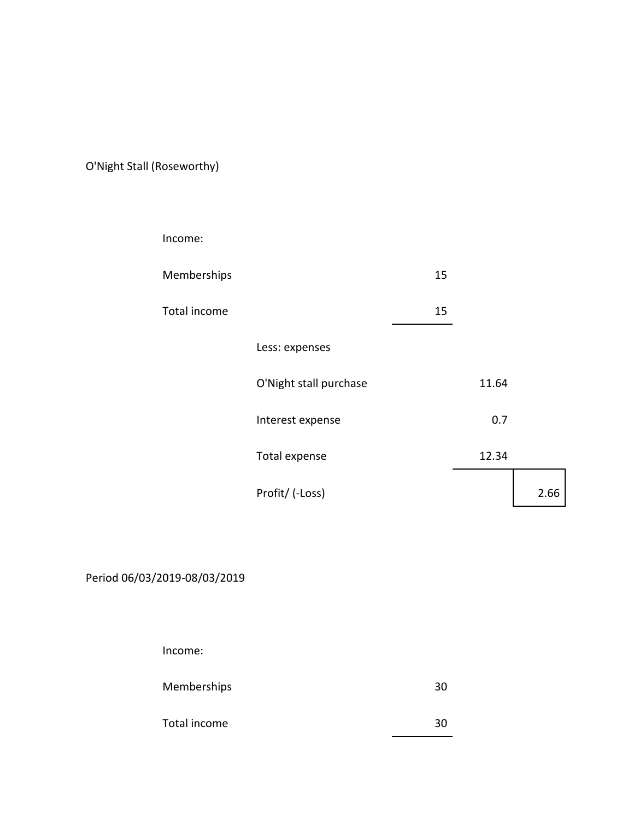O'Night Stall (Roseworthy)

| Income:      |                        |    |       |      |
|--------------|------------------------|----|-------|------|
| Memberships  |                        | 15 |       |      |
| Total income |                        | 15 |       |      |
|              | Less: expenses         |    |       |      |
|              | O'Night stall purchase |    | 11.64 |      |
|              | Interest expense       |    | 0.7   |      |
|              | Total expense          |    | 12.34 |      |
|              | Profit/ (-Loss)        |    |       | 2.66 |

Period 06/03/2019-08/03/2019

Income:

Memberships 30

Total income 30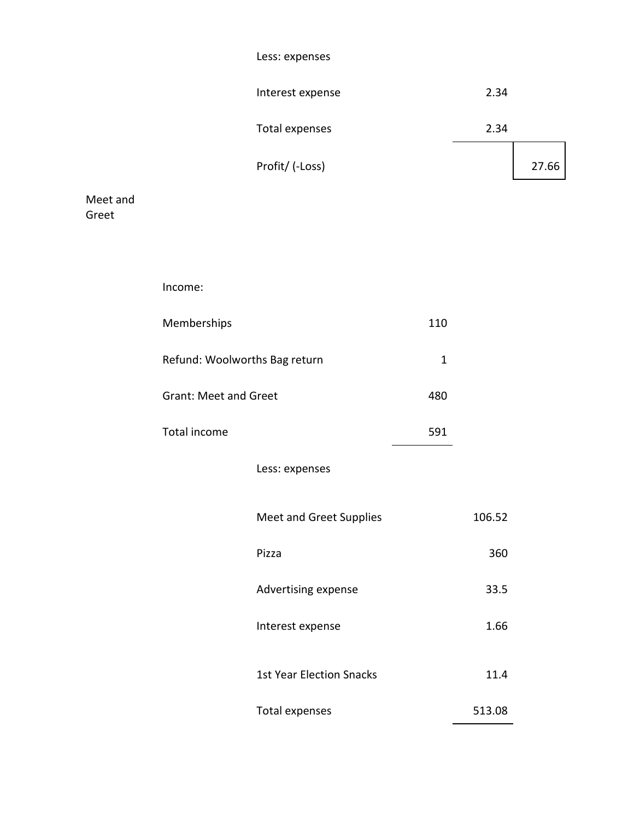|       | Less: expenses   |       |
|-------|------------------|-------|
|       | Interest expense | 2.34  |
|       | Total expenses   | 2.34  |
|       | Profit/ (-Loss)  | 27.66 |
| t and |                  |       |

Meet Greet

| Income:                       |                                 |              |        |
|-------------------------------|---------------------------------|--------------|--------|
| Memberships                   |                                 | 110          |        |
| Refund: Woolworths Bag return |                                 | $\mathbf{1}$ |        |
| <b>Grant: Meet and Greet</b>  |                                 | 480          |        |
| Total income                  |                                 | 591          |        |
|                               | Less: expenses                  |              |        |
|                               | <b>Meet and Greet Supplies</b>  |              | 106.52 |
|                               | Pizza                           |              | 360    |
|                               | Advertising expense             |              | 33.5   |
|                               | Interest expense                |              | 1.66   |
|                               | <b>1st Year Election Snacks</b> |              | 11.4   |
|                               | <b>Total expenses</b>           |              | 513.08 |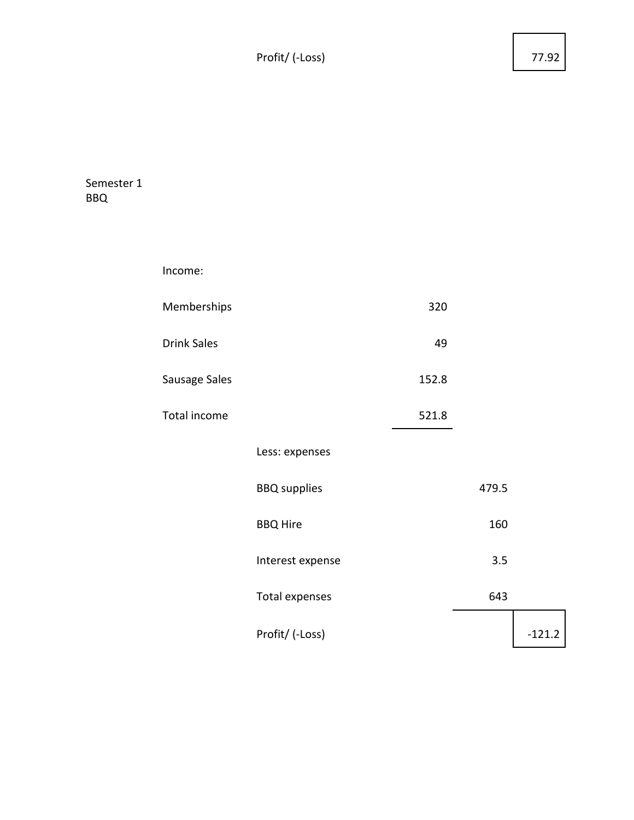Profit/ (-Loss) 77.92

| Semester 1 |  |
|------------|--|
| BBO        |  |

| Income:            |                       |       |       |          |
|--------------------|-----------------------|-------|-------|----------|
| Memberships        |                       | 320   |       |          |
| <b>Drink Sales</b> |                       | 49    |       |          |
| Sausage Sales      |                       | 152.8 |       |          |
| Total income       |                       | 521.8 |       |          |
|                    | Less: expenses        |       |       |          |
|                    | <b>BBQ</b> supplies   |       | 479.5 |          |
|                    | <b>BBQ Hire</b>       |       | 160   |          |
|                    | Interest expense      |       | 3.5   |          |
|                    | <b>Total expenses</b> |       | 643   |          |
|                    | Profit/ (-Loss)       |       |       | $-121.2$ |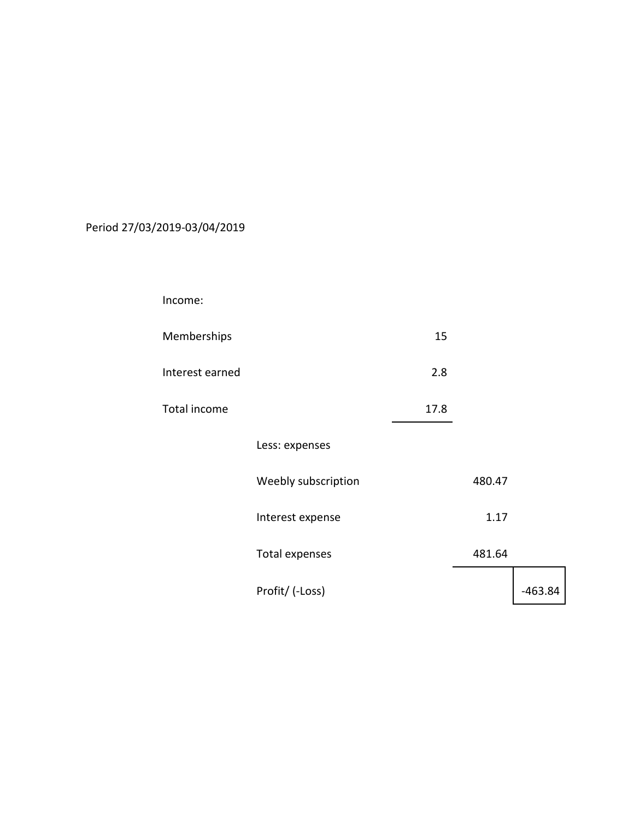## Period 27/03/2019-03/04/2019

| Income:         |                       |      |        |           |
|-----------------|-----------------------|------|--------|-----------|
| Memberships     |                       | 15   |        |           |
| Interest earned |                       | 2.8  |        |           |
| Total income    |                       | 17.8 |        |           |
|                 | Less: expenses        |      |        |           |
|                 | Weebly subscription   |      | 480.47 |           |
|                 | Interest expense      |      | 1.17   |           |
|                 | <b>Total expenses</b> |      | 481.64 |           |
|                 | Profit/ (-Loss)       |      |        | $-463.84$ |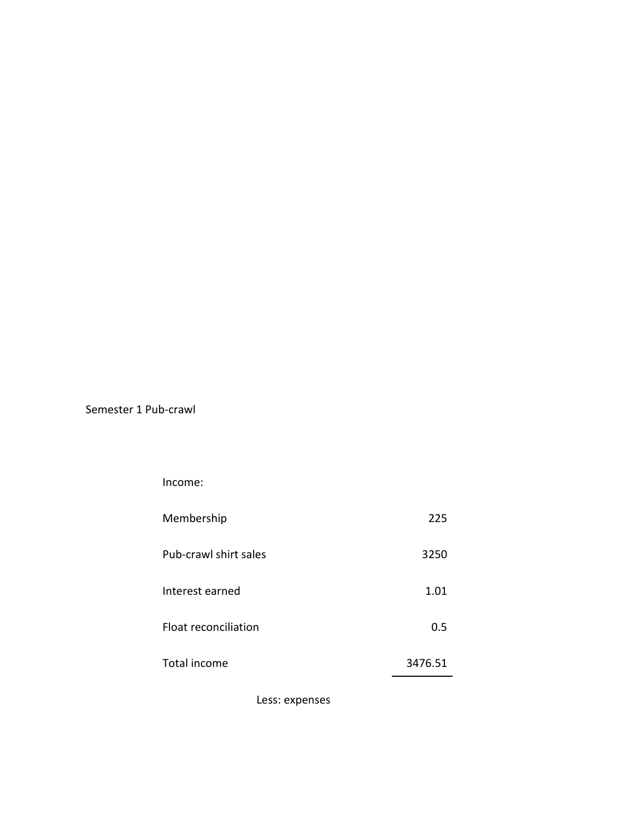Semester 1 Pub-crawl

Income:

| Membership            | 225     |
|-----------------------|---------|
| Pub-crawl shirt sales | 3250    |
| Interest earned       | 1.01    |
| Float reconciliation  | 0.5     |
| Total income          | 3476.51 |

Less: expenses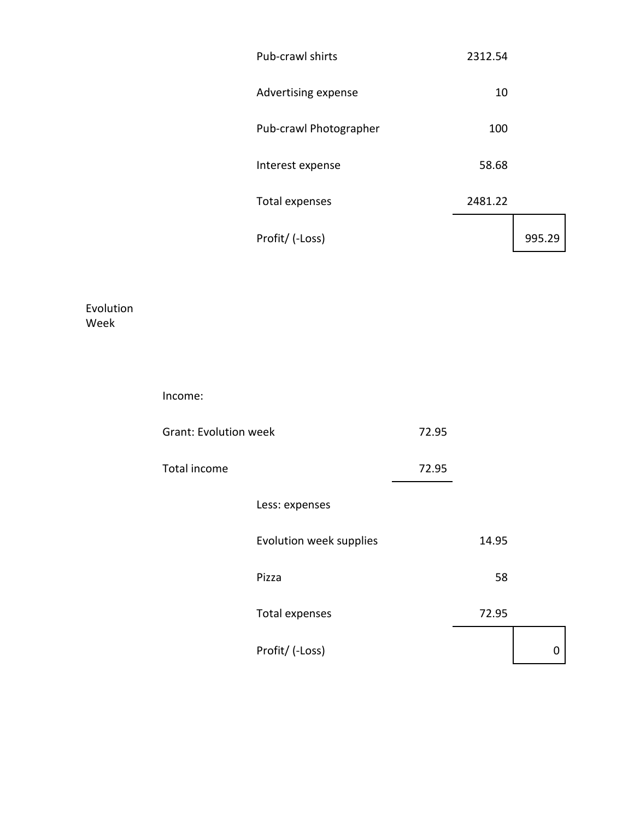| Pub-crawl shirts       | 2312.54 |     |
|------------------------|---------|-----|
| Advertising expense    | 10      |     |
| Pub-crawl Photographer | 100     |     |
| Interest expense       | 58.68   |     |
| Total expenses         | 2481.22 |     |
| Profit/ (-Loss)        |         | 995 |

Evolution Week

| Income:                      |                         |       |       |   |
|------------------------------|-------------------------|-------|-------|---|
| <b>Grant: Evolution week</b> |                         | 72.95 |       |   |
| Total income                 |                         | 72.95 |       |   |
|                              | Less: expenses          |       |       |   |
|                              | Evolution week supplies |       | 14.95 |   |
|                              | Pizza                   |       | 58    |   |
|                              | Total expenses          |       | 72.95 |   |
|                              | Profit/ (-Loss)         |       |       | 0 |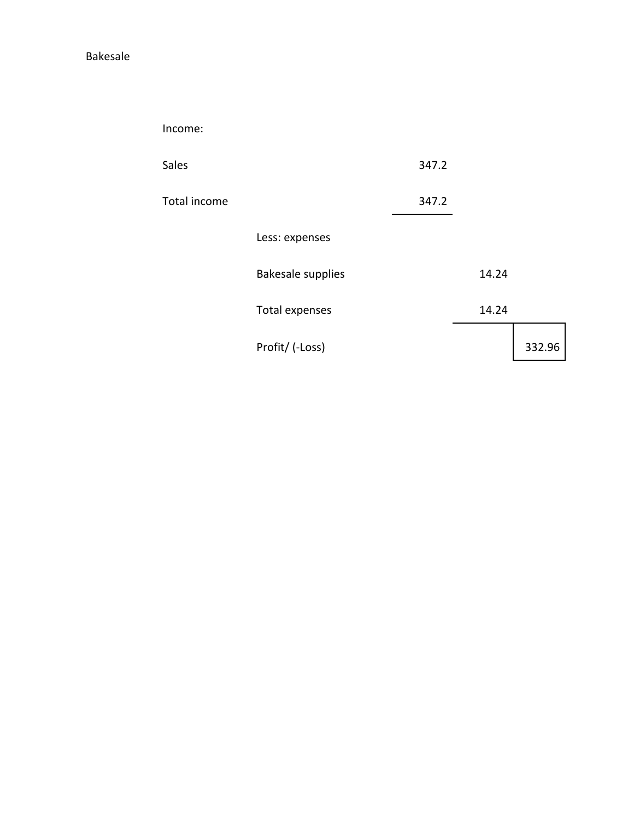Bakesale

Income:

| <b>Sales</b> |                          | 347.2 |       |        |
|--------------|--------------------------|-------|-------|--------|
| Total income |                          | 347.2 |       |        |
|              | Less: expenses           |       |       |        |
|              | <b>Bakesale supplies</b> |       | 14.24 |        |
|              | Total expenses           |       | 14.24 |        |
|              | Profit/ (-Loss)          |       |       | 332.96 |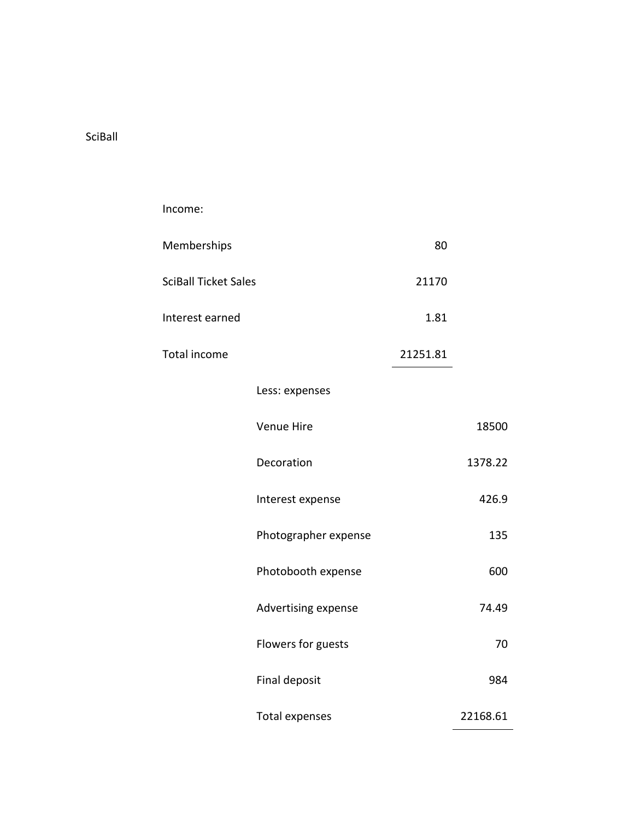SciBall

| Income:                     |                      |          |          |
|-----------------------------|----------------------|----------|----------|
| Memberships                 |                      | 80       |          |
| <b>SciBall Ticket Sales</b> |                      | 21170    |          |
| Interest earned             |                      | 1.81     |          |
| Total income                |                      | 21251.81 |          |
|                             | Less: expenses       |          |          |
|                             | Venue Hire           |          | 18500    |
|                             | Decoration           |          | 1378.22  |
|                             | Interest expense     |          | 426.9    |
|                             | Photographer expense |          | 135      |
|                             | Photobooth expense   |          | 600      |
|                             | Advertising expense  |          | 74.49    |
|                             | Flowers for guests   |          | 70       |
|                             | Final deposit        |          | 984      |
|                             | Total expenses       |          | 22168.61 |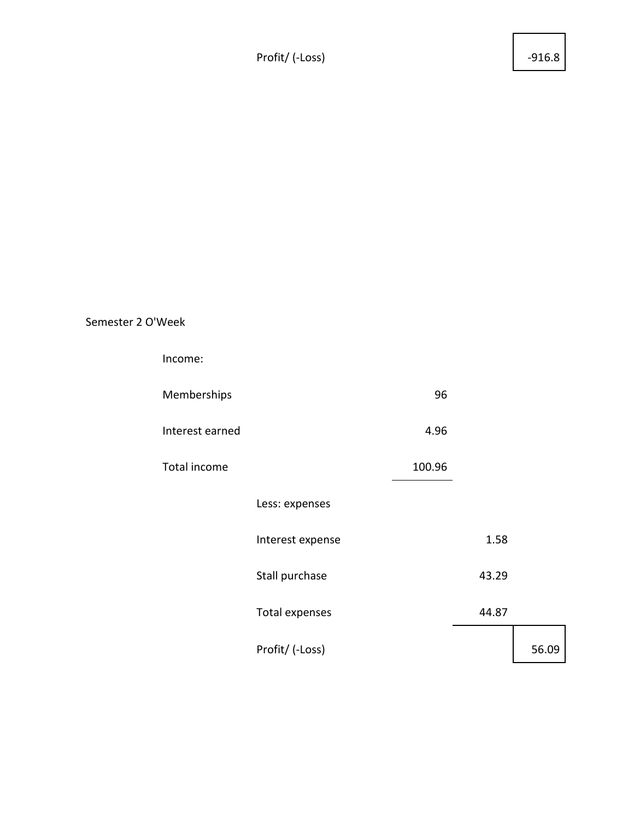Profit/ (-Loss) 4916.8

## Semester 2 O'Week

| Income:         |                       |        |       |       |
|-----------------|-----------------------|--------|-------|-------|
| Memberships     |                       | 96     |       |       |
| Interest earned |                       | 4.96   |       |       |
| Total income    |                       | 100.96 |       |       |
|                 | Less: expenses        |        |       |       |
|                 | Interest expense      |        | 1.58  |       |
|                 | Stall purchase        |        | 43.29 |       |
|                 | <b>Total expenses</b> |        | 44.87 |       |
|                 | Profit/ (-Loss)       |        |       | 56.09 |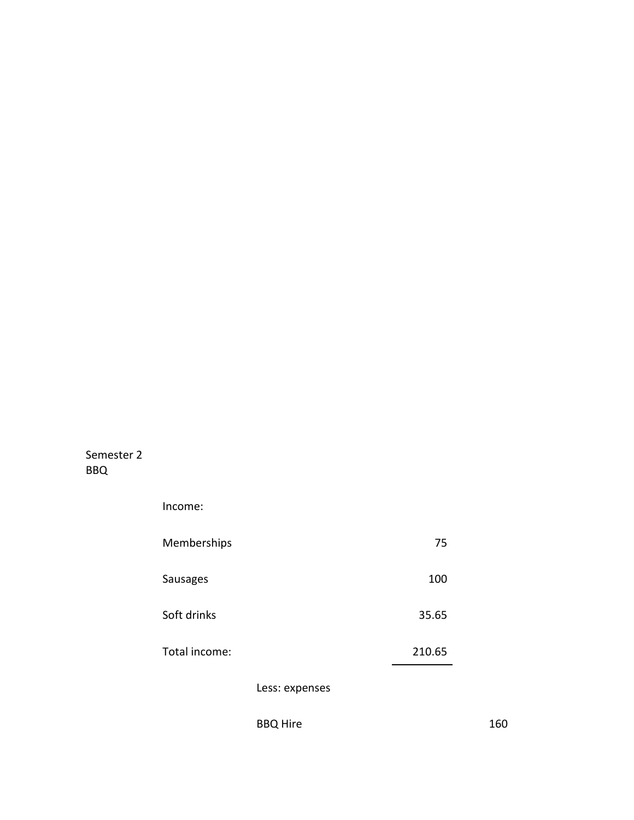Semester 2 BBQ

| Income:         |                |        |  |
|-----------------|----------------|--------|--|
| Memberships     |                | 75     |  |
| <b>Sausages</b> |                | 100    |  |
| Soft drinks     |                | 35.65  |  |
| Total income:   |                | 210.65 |  |
|                 | Less: expenses |        |  |

BBQ Hire 160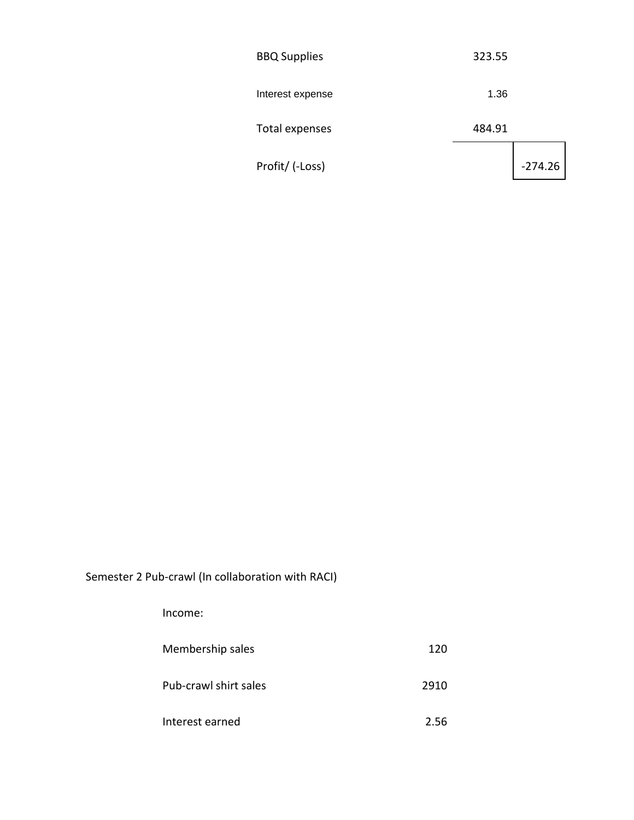| <b>BBQ Supplies</b> | 323.55 |           |
|---------------------|--------|-----------|
| Interest expense    | 1.36   |           |
| Total expenses      | 484.91 |           |
| Profit/ (-Loss)     |        | $-274.26$ |

Semester 2 Pub-crawl (In collaboration with RACI)

Income:

Membership sales 120

Pub-crawl shirt sales 2910

Interest earned 2.56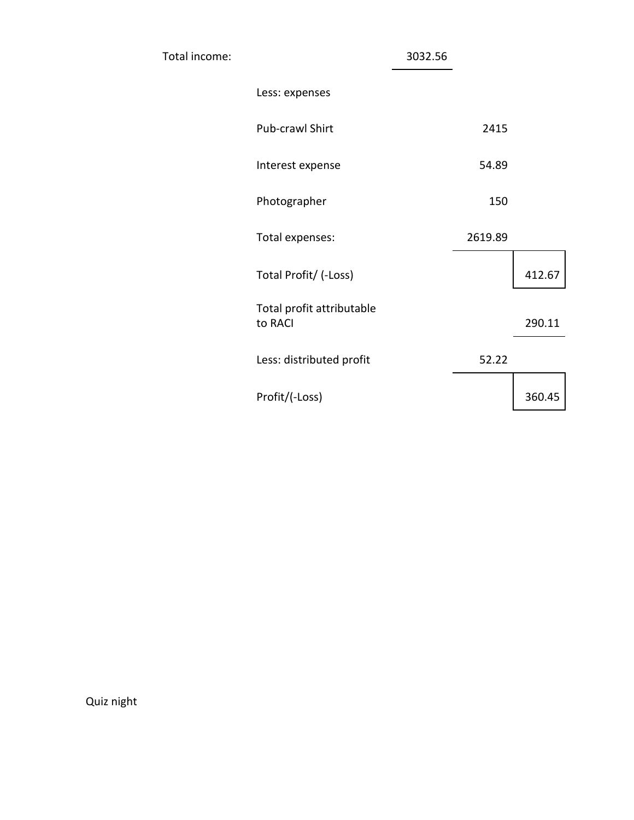| Total income: |                                      | 3032.56 |         |        |
|---------------|--------------------------------------|---------|---------|--------|
|               | Less: expenses                       |         |         |        |
|               | Pub-crawl Shirt                      |         | 2415    |        |
|               | Interest expense                     |         | 54.89   |        |
|               | Photographer                         |         | 150     |        |
|               | Total expenses:                      |         | 2619.89 |        |
|               | Total Profit/ (-Loss)                |         |         | 412.67 |
|               | Total profit attributable<br>to RACI |         |         | 290.11 |
|               | Less: distributed profit             |         | 52.22   |        |
|               | Profit/(-Loss)                       |         |         | 360.45 |

Quiz night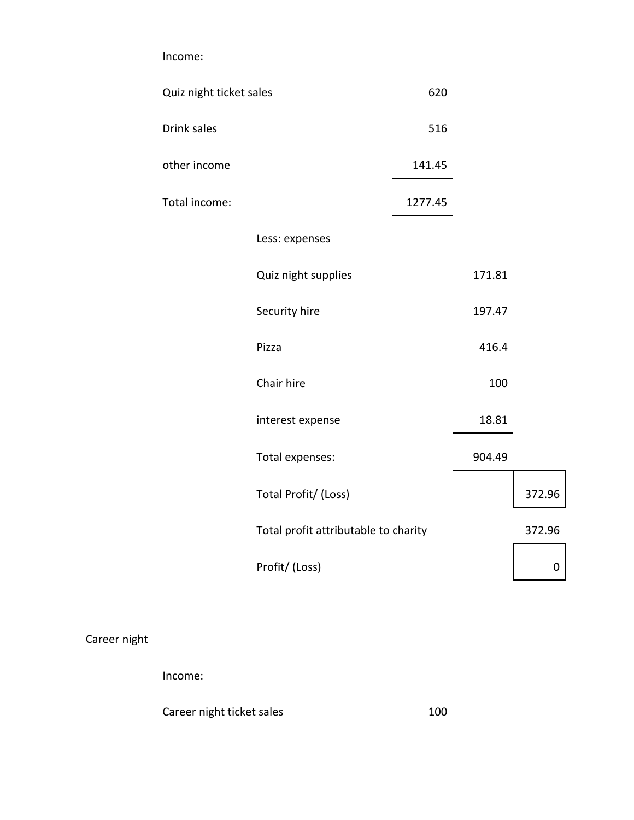Income:

| Quiz night ticket sales |                                      | 620     |        |        |
|-------------------------|--------------------------------------|---------|--------|--------|
| Drink sales             |                                      | 516     |        |        |
| other income            |                                      | 141.45  |        |        |
| Total income:           |                                      | 1277.45 |        |        |
|                         | Less: expenses                       |         |        |        |
|                         | Quiz night supplies                  |         | 171.81 |        |
|                         | Security hire                        |         | 197.47 |        |
|                         | Pizza                                |         | 416.4  |        |
|                         | Chair hire                           |         | 100    |        |
|                         | interest expense                     |         | 18.81  |        |
|                         | Total expenses:                      |         | 904.49 |        |
|                         | Total Profit/ (Loss)                 |         |        | 372.96 |
|                         | Total profit attributable to charity |         |        | 372.96 |
|                         | Profit/ (Loss)                       |         |        | 0      |

## Career night

Income:

Career night ticket sales 100